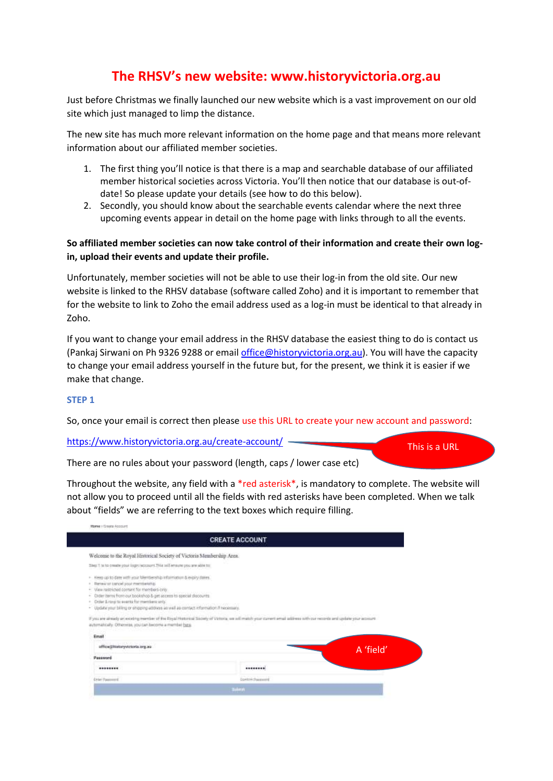# **The RHSV's new website: www.historyvictoria.org.au**

Just before Christmas we finally launched our new website which is a vast improvement on our old site which just managed to limp the distance.

The new site has much more relevant information on the home page and that means more relevant information about our affiliated member societies.

- 1. The first thing you'll notice is that there is a map and searchable database of our affiliated member historical societies across Victoria. You'll then notice that our database is out-ofdate! So please update your details (see how to do this below).
- 2. Secondly, you should know about the searchable events calendar where the next three upcoming events appear in detail on the home page with links through to all the events.

## **So affiliated member societies can now take control of their information and create their own login, upload their events and update their profile.**

Unfortunately, member societies will not be able to use their log-in from the old site. Our new website is linked to the RHSV database (software called Zoho) and it is important to remember that for the website to link to Zoho the email address used as a log-in must be identical to that already in Zoho.

If you want to change your email address in the RHSV database the easiest thing to do is contact us (Pankaj Sirwani on Ph 9326 9288 or emai[l office@historyvictoria.org.au\)](mailto:office@historyvictoria.org.au). You will have the capacity to change your email address yourself in the future but, for the present, we think it is easier if we make that change.

## **STEP 1**

So, once your email is correct then please use this URL to create your new account and password:

<https://www.historyvictoria.org.au/create-account/>

This is a URL

There are no rules about your password (length, caps / lower case etc)

Throughout the website, any field with a \*red asterisk\*, is mandatory to complete. The website will not allow you to proceed until all the fields with red asterisks have been completed. When we talk about "fields" we are referring to the text boxes which require filling.

|                                                                                                                                                                                                                                   | <b>CREATE ACCOUNT</b>                                                                                                                                                |           |
|-----------------------------------------------------------------------------------------------------------------------------------------------------------------------------------------------------------------------------------|----------------------------------------------------------------------------------------------------------------------------------------------------------------------|-----------|
| Welcome to the Royal Historical Society of Victoria Membership Area.                                                                                                                                                              |                                                                                                                                                                      |           |
| Sing: 1 to to create your logist account. This will ensure you are able to:                                                                                                                                                       |                                                                                                                                                                      |           |
| . Here up to date with your Membership information & exploy dates.<br>· Renew or cancel pour membership.<br>- View restricted content for members only.<br>Dider Herri from our bookshop & get access to special slocourts.<br>×. |                                                                                                                                                                      |           |
| Order & roug to events for members unty.<br>- Update your biling or shipping address as well as contact information if necessary.<br>automatically. Otherwise, you can become a member bane.                                      | If you are already an existing member of the Royal Hostnical Society of Victoria, we will match your curvent amail address with our records and update your accounts |           |
| Email                                                                                                                                                                                                                             |                                                                                                                                                                      |           |
| effice@historyvictoria.org.au                                                                                                                                                                                                     |                                                                                                                                                                      |           |
| Password                                                                                                                                                                                                                          |                                                                                                                                                                      | A 'field' |
|                                                                                                                                                                                                                                   |                                                                                                                                                                      |           |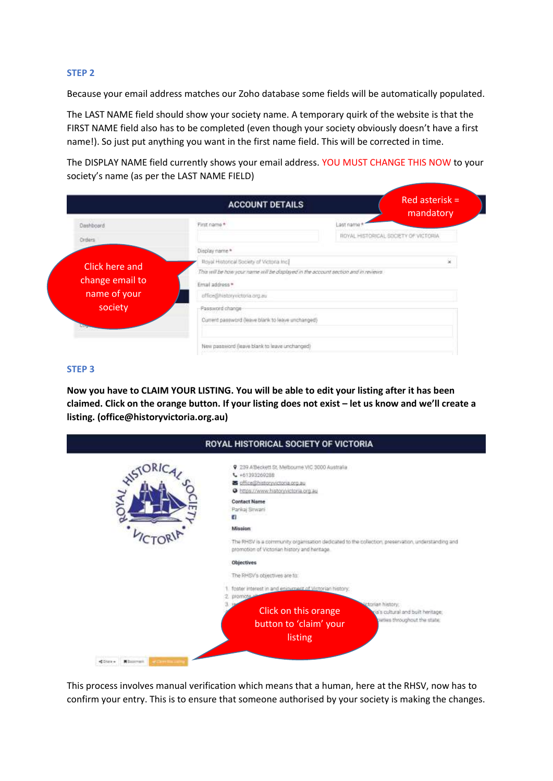#### **STEP 2**

Because your email address matches our Zoho database some fields will be automatically populated.

The LAST NAME field should show your society name. A temporary quirk of the website is that the FIRST NAME field also has to be completed (even though your society obviously doesn't have a first name!). So just put anything you want in the first name field. This will be corrected in time.

The DISPLAY NAME field currently shows your email address. YOU MUST CHANGE THIS NOW to your society's name (as per the LAST NAME FIELD)

|                 | <b>ACCOUNT DETAILS</b>                                                             |         | Red asterisk $=$<br>mandatory        |
|-----------------|------------------------------------------------------------------------------------|---------|--------------------------------------|
| Dashboard       | First name *                                                                       | ant nam |                                      |
| Orders          |                                                                                    |         | ROYAL HISTORICAL SOCIETY OF VICTORIA |
|                 | Display name *                                                                     |         |                                      |
| Click here and  | Royal Historical Society of Victoria Inc.]                                         |         | Sé                                   |
|                 | This will be how your name will be displayed in the account section and in reviews |         |                                      |
| change email to | Email address *                                                                    |         |                                      |
| name of your    | effice@historyvictoria.org.au                                                      |         |                                      |
| society         | Password change                                                                    |         |                                      |
|                 | Current password (leave blank to leave unchanged)                                  |         |                                      |
|                 | New password (leave blank to leave unchanged)                                      |         |                                      |

#### **STEP 3**

**Now you have to CLAIM YOUR LISTING. You will be able to edit your listing after it has been claimed. Click on the orange button. If your listing does not exist – let us know and we'll create a listing. (office@historyvictoria.org.au)**

| ORIC | 9 239 A'Beckett St. Melbourne VIC 3000 Australia                                                  |
|------|---------------------------------------------------------------------------------------------------|
|      | L +61393269288<br>office@historyvictoria.org.au                                                   |
|      | O https://www.historyvictoria.org.au                                                              |
|      | <b>Contact Name</b>                                                                               |
|      | Pankaj Sirwani                                                                                    |
|      | a                                                                                                 |
|      | <b>Mission</b>                                                                                    |
|      | The RHSV is a community organisation dedicated to the collection, preservation, understanding and |
|      | promotion of Victorian history and heritage.                                                      |
|      | Objectives                                                                                        |
|      | The RHSV's objectives are for                                                                     |
|      | foster interest in and enjoyment of Victorian history.                                            |
|      | 2 promote                                                                                         |
|      | torian history.<br>Click on this orange<br>a's cultural and built heritage;                       |
|      | ciaties throughout the state:                                                                     |
|      | button to 'claim' your                                                                            |
|      | listing                                                                                           |

This process involves manual verification which means that a human, here at the RHSV, now has to confirm your entry. This is to ensure that someone authorised by your society is making the changes.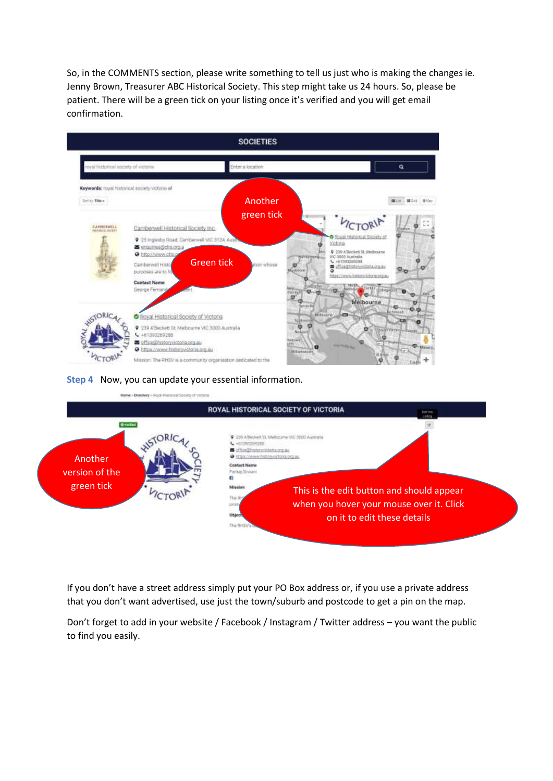So, in the COMMENTS section, please write something to tell us just who is making the changes ie. Jenny Brown, Treasurer ABC Historical Society. This step might take us 24 hours. So, please be patient. There will be a green tick on your listing once it's verified and you will get email confirmation.



#### **Step 4** Now, you can update your essential information.



If you don't have a street address simply put your PO Box address or, if you use a private address that you don't want advertised, use just the town/suburb and postcode to get a pin on the map.

Don't forget to add in your website / Facebook / Instagram / Twitter address – you want the public to find you easily.